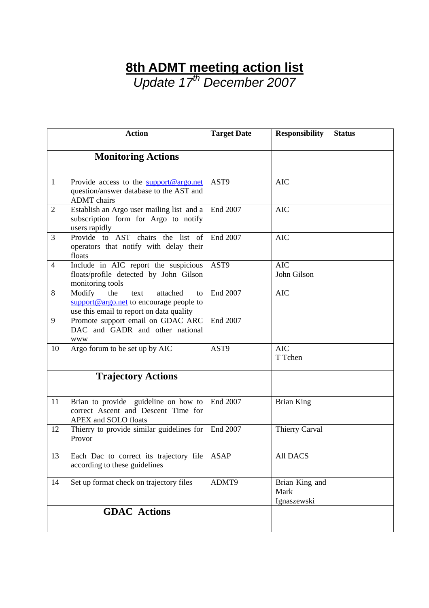## **8th ADMT meeting action list**

*Update 17th December 2007* 

|                | <b>Action</b>                                                                                                                                                      | <b>Target Date</b> | <b>Responsibility</b>                 | <b>Status</b> |
|----------------|--------------------------------------------------------------------------------------------------------------------------------------------------------------------|--------------------|---------------------------------------|---------------|
|                | <b>Monitoring Actions</b>                                                                                                                                          |                    |                                       |               |
| $\mathbf{1}$   | Provide access to the support@argo.net<br>question/answer database to the AST and<br><b>ADMT</b> chairs                                                            | AST9               | <b>AIC</b>                            |               |
| $\overline{2}$ | Establish an Argo user mailing list and a<br>subscription form for Argo to notify<br>users rapidly                                                                 | End 2007           | <b>AIC</b>                            |               |
| 3              | Provide to AST chairs the list of<br>operators that notify with delay their<br>floats                                                                              | End 2007           | <b>AIC</b>                            |               |
| $\overline{4}$ | Include in AIC report the suspicious<br>floats/profile detected by John Gilson<br>monitoring tools                                                                 | AST9               | $AI\overline{C}$<br>John Gilson       |               |
| 8              | Modify<br>the<br>attached<br>text<br>to<br>$\frac{\text{support} @ \text{argo.net}}{\text{of}}$ to encourage people to<br>use this email to report on data quality | End 2007           | <b>AIC</b>                            |               |
| 9              | Promote support email on GDAC ARC<br>DAC and GADR and other national<br><b>WWW</b>                                                                                 | End 2007           |                                       |               |
| 10             | Argo forum to be set up by AIC                                                                                                                                     | AST9               | <b>AIC</b><br>T Tchen                 |               |
|                | <b>Trajectory Actions</b>                                                                                                                                          |                    |                                       |               |
| 11             | Brian to provide guideline on how to<br>correct Ascent and Descent Time for<br>APEX and SOLO floats                                                                | End 2007           | <b>Brian King</b>                     |               |
| 12             | Thierry to provide similar guidelines for<br>Provor                                                                                                                | End 2007           | Thierry Carval                        |               |
| 13             | Each Dac to correct its trajectory file<br>according to these guidelines                                                                                           | <b>ASAP</b>        | All DACS                              |               |
| 14             | Set up format check on trajectory files                                                                                                                            | ADMT9              | Brian King and<br>Mark<br>Ignaszewski |               |
|                | <b>GDAC</b> Actions                                                                                                                                                |                    |                                       |               |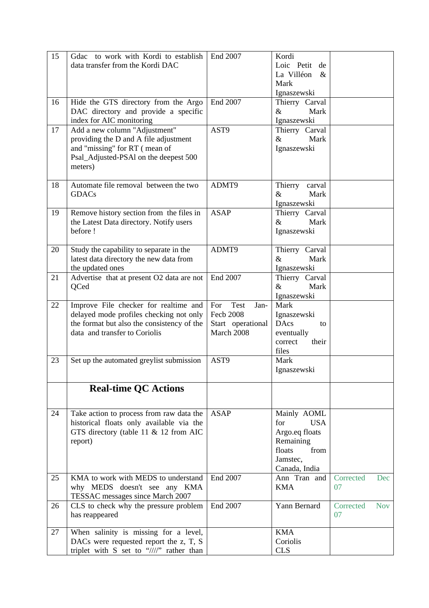| data transfer from the Kordi DAC<br>Loic Petit<br>de<br>La Villéon<br>$\&$<br>Mark<br>Ignaszewski<br>End 2007<br>Hide the GTS directory from the Argo<br>Thierry Carval<br>16<br>DAC directory and provide a specific<br>$\&$<br>Mark<br>index for AIC monitoring<br>Ignaszewski<br>AST9<br>Add a new column "Adjustment"<br>17<br>Thierry Carval<br>providing the D and A file adjustment<br>$\&$<br>Mark<br>and "missing" for RT (mean of<br>Ignaszewski<br>Psal_Adjusted-PSAl on the deepest 500<br>meters)<br>18<br>Automate file removal between the two<br>ADMT9<br>Thierry<br>carval<br><b>GDACs</b><br>Mark<br>&<br>Ignaszewski<br><b>ASAP</b><br>19<br>Remove history section from the files in<br>Thierry Carval<br>the Latest Data directory. Notify users<br>$\&$<br>Mark<br>before !<br>Ignaszewski<br>ADMT9<br>Study the capability to separate in the<br>Thierry Carval<br>20<br>latest data directory the new data from<br>$\&$<br>Mark<br>the updated ones<br>Ignaszewski<br>End 2007<br>Advertise that at present O2 data are not<br>Thierry Carval<br>21<br>QCed<br>$\&$<br>Mark<br>Ignaszewski<br><b>Test</b><br>22<br>Improve File checker for realtime and<br>For<br>Jan-<br>Mark<br><b>Fecb 2008</b><br>delayed mode profiles checking not only<br>Ignaszewski<br>the format but also the consistency of the<br>Start operational<br><b>DAcs</b><br>to<br>data and transfer to Coriolis<br>March 2008<br>eventually<br>correct<br>their<br>files<br>23<br>AST9<br>Mark<br>Set up the automated greylist submission<br>Ignaszewski<br><b>Real-time QC Actions</b><br>24<br>Take action to process from raw data the<br><b>ASAP</b><br>Mainly AOML<br>historical floats only available via the<br>for<br><b>USA</b><br>GTS directory (table 11 & 12 from AIC<br>Argo.eq floats<br>Remaining<br>report)<br>floats<br>from<br>Jamstec.<br>Canada, India<br>25<br>KMA to work with MEDS to understand<br>End 2007<br>Ann Tran and<br>Corrected<br>Dec<br>why MEDS doesn't see any KMA<br><b>KMA</b><br>07<br>TESSAC messages since March 2007<br>End 2007<br>CLS to check why the pressure problem<br>Yann Bernard<br>26<br>Corrected<br><b>Nov</b><br>has reappeared<br>07<br>When salinity is missing for a level,<br>27<br><b>KMA</b><br>DACs were requested report the z, T, S<br>Coriolis | 15 | Gdac to work with Kordi to establish            | End 2007 | Kordi      |  |
|------------------------------------------------------------------------------------------------------------------------------------------------------------------------------------------------------------------------------------------------------------------------------------------------------------------------------------------------------------------------------------------------------------------------------------------------------------------------------------------------------------------------------------------------------------------------------------------------------------------------------------------------------------------------------------------------------------------------------------------------------------------------------------------------------------------------------------------------------------------------------------------------------------------------------------------------------------------------------------------------------------------------------------------------------------------------------------------------------------------------------------------------------------------------------------------------------------------------------------------------------------------------------------------------------------------------------------------------------------------------------------------------------------------------------------------------------------------------------------------------------------------------------------------------------------------------------------------------------------------------------------------------------------------------------------------------------------------------------------------------------------------------------------------------------------------------------------------------------------------------------------------------------------------------------------------------------------------------------------------------------------------------------------------------------------------------------------------------------------------------------------------------------------------------------------------------------------------------------------------------------------------------------------------------------------------|----|-------------------------------------------------|----------|------------|--|
|                                                                                                                                                                                                                                                                                                                                                                                                                                                                                                                                                                                                                                                                                                                                                                                                                                                                                                                                                                                                                                                                                                                                                                                                                                                                                                                                                                                                                                                                                                                                                                                                                                                                                                                                                                                                                                                                                                                                                                                                                                                                                                                                                                                                                                                                                                                  |    |                                                 |          |            |  |
|                                                                                                                                                                                                                                                                                                                                                                                                                                                                                                                                                                                                                                                                                                                                                                                                                                                                                                                                                                                                                                                                                                                                                                                                                                                                                                                                                                                                                                                                                                                                                                                                                                                                                                                                                                                                                                                                                                                                                                                                                                                                                                                                                                                                                                                                                                                  |    |                                                 |          |            |  |
|                                                                                                                                                                                                                                                                                                                                                                                                                                                                                                                                                                                                                                                                                                                                                                                                                                                                                                                                                                                                                                                                                                                                                                                                                                                                                                                                                                                                                                                                                                                                                                                                                                                                                                                                                                                                                                                                                                                                                                                                                                                                                                                                                                                                                                                                                                                  |    |                                                 |          |            |  |
|                                                                                                                                                                                                                                                                                                                                                                                                                                                                                                                                                                                                                                                                                                                                                                                                                                                                                                                                                                                                                                                                                                                                                                                                                                                                                                                                                                                                                                                                                                                                                                                                                                                                                                                                                                                                                                                                                                                                                                                                                                                                                                                                                                                                                                                                                                                  |    |                                                 |          |            |  |
|                                                                                                                                                                                                                                                                                                                                                                                                                                                                                                                                                                                                                                                                                                                                                                                                                                                                                                                                                                                                                                                                                                                                                                                                                                                                                                                                                                                                                                                                                                                                                                                                                                                                                                                                                                                                                                                                                                                                                                                                                                                                                                                                                                                                                                                                                                                  |    |                                                 |          |            |  |
|                                                                                                                                                                                                                                                                                                                                                                                                                                                                                                                                                                                                                                                                                                                                                                                                                                                                                                                                                                                                                                                                                                                                                                                                                                                                                                                                                                                                                                                                                                                                                                                                                                                                                                                                                                                                                                                                                                                                                                                                                                                                                                                                                                                                                                                                                                                  |    |                                                 |          |            |  |
|                                                                                                                                                                                                                                                                                                                                                                                                                                                                                                                                                                                                                                                                                                                                                                                                                                                                                                                                                                                                                                                                                                                                                                                                                                                                                                                                                                                                                                                                                                                                                                                                                                                                                                                                                                                                                                                                                                                                                                                                                                                                                                                                                                                                                                                                                                                  |    |                                                 |          |            |  |
|                                                                                                                                                                                                                                                                                                                                                                                                                                                                                                                                                                                                                                                                                                                                                                                                                                                                                                                                                                                                                                                                                                                                                                                                                                                                                                                                                                                                                                                                                                                                                                                                                                                                                                                                                                                                                                                                                                                                                                                                                                                                                                                                                                                                                                                                                                                  |    |                                                 |          |            |  |
|                                                                                                                                                                                                                                                                                                                                                                                                                                                                                                                                                                                                                                                                                                                                                                                                                                                                                                                                                                                                                                                                                                                                                                                                                                                                                                                                                                                                                                                                                                                                                                                                                                                                                                                                                                                                                                                                                                                                                                                                                                                                                                                                                                                                                                                                                                                  |    |                                                 |          |            |  |
|                                                                                                                                                                                                                                                                                                                                                                                                                                                                                                                                                                                                                                                                                                                                                                                                                                                                                                                                                                                                                                                                                                                                                                                                                                                                                                                                                                                                                                                                                                                                                                                                                                                                                                                                                                                                                                                                                                                                                                                                                                                                                                                                                                                                                                                                                                                  |    |                                                 |          |            |  |
|                                                                                                                                                                                                                                                                                                                                                                                                                                                                                                                                                                                                                                                                                                                                                                                                                                                                                                                                                                                                                                                                                                                                                                                                                                                                                                                                                                                                                                                                                                                                                                                                                                                                                                                                                                                                                                                                                                                                                                                                                                                                                                                                                                                                                                                                                                                  |    |                                                 |          |            |  |
|                                                                                                                                                                                                                                                                                                                                                                                                                                                                                                                                                                                                                                                                                                                                                                                                                                                                                                                                                                                                                                                                                                                                                                                                                                                                                                                                                                                                                                                                                                                                                                                                                                                                                                                                                                                                                                                                                                                                                                                                                                                                                                                                                                                                                                                                                                                  |    |                                                 |          |            |  |
|                                                                                                                                                                                                                                                                                                                                                                                                                                                                                                                                                                                                                                                                                                                                                                                                                                                                                                                                                                                                                                                                                                                                                                                                                                                                                                                                                                                                                                                                                                                                                                                                                                                                                                                                                                                                                                                                                                                                                                                                                                                                                                                                                                                                                                                                                                                  |    |                                                 |          |            |  |
|                                                                                                                                                                                                                                                                                                                                                                                                                                                                                                                                                                                                                                                                                                                                                                                                                                                                                                                                                                                                                                                                                                                                                                                                                                                                                                                                                                                                                                                                                                                                                                                                                                                                                                                                                                                                                                                                                                                                                                                                                                                                                                                                                                                                                                                                                                                  |    |                                                 |          |            |  |
|                                                                                                                                                                                                                                                                                                                                                                                                                                                                                                                                                                                                                                                                                                                                                                                                                                                                                                                                                                                                                                                                                                                                                                                                                                                                                                                                                                                                                                                                                                                                                                                                                                                                                                                                                                                                                                                                                                                                                                                                                                                                                                                                                                                                                                                                                                                  |    |                                                 |          |            |  |
|                                                                                                                                                                                                                                                                                                                                                                                                                                                                                                                                                                                                                                                                                                                                                                                                                                                                                                                                                                                                                                                                                                                                                                                                                                                                                                                                                                                                                                                                                                                                                                                                                                                                                                                                                                                                                                                                                                                                                                                                                                                                                                                                                                                                                                                                                                                  |    |                                                 |          |            |  |
|                                                                                                                                                                                                                                                                                                                                                                                                                                                                                                                                                                                                                                                                                                                                                                                                                                                                                                                                                                                                                                                                                                                                                                                                                                                                                                                                                                                                                                                                                                                                                                                                                                                                                                                                                                                                                                                                                                                                                                                                                                                                                                                                                                                                                                                                                                                  |    |                                                 |          |            |  |
|                                                                                                                                                                                                                                                                                                                                                                                                                                                                                                                                                                                                                                                                                                                                                                                                                                                                                                                                                                                                                                                                                                                                                                                                                                                                                                                                                                                                                                                                                                                                                                                                                                                                                                                                                                                                                                                                                                                                                                                                                                                                                                                                                                                                                                                                                                                  |    |                                                 |          |            |  |
|                                                                                                                                                                                                                                                                                                                                                                                                                                                                                                                                                                                                                                                                                                                                                                                                                                                                                                                                                                                                                                                                                                                                                                                                                                                                                                                                                                                                                                                                                                                                                                                                                                                                                                                                                                                                                                                                                                                                                                                                                                                                                                                                                                                                                                                                                                                  |    |                                                 |          |            |  |
|                                                                                                                                                                                                                                                                                                                                                                                                                                                                                                                                                                                                                                                                                                                                                                                                                                                                                                                                                                                                                                                                                                                                                                                                                                                                                                                                                                                                                                                                                                                                                                                                                                                                                                                                                                                                                                                                                                                                                                                                                                                                                                                                                                                                                                                                                                                  |    |                                                 |          |            |  |
|                                                                                                                                                                                                                                                                                                                                                                                                                                                                                                                                                                                                                                                                                                                                                                                                                                                                                                                                                                                                                                                                                                                                                                                                                                                                                                                                                                                                                                                                                                                                                                                                                                                                                                                                                                                                                                                                                                                                                                                                                                                                                                                                                                                                                                                                                                                  |    |                                                 |          |            |  |
|                                                                                                                                                                                                                                                                                                                                                                                                                                                                                                                                                                                                                                                                                                                                                                                                                                                                                                                                                                                                                                                                                                                                                                                                                                                                                                                                                                                                                                                                                                                                                                                                                                                                                                                                                                                                                                                                                                                                                                                                                                                                                                                                                                                                                                                                                                                  |    |                                                 |          |            |  |
|                                                                                                                                                                                                                                                                                                                                                                                                                                                                                                                                                                                                                                                                                                                                                                                                                                                                                                                                                                                                                                                                                                                                                                                                                                                                                                                                                                                                                                                                                                                                                                                                                                                                                                                                                                                                                                                                                                                                                                                                                                                                                                                                                                                                                                                                                                                  |    |                                                 |          |            |  |
|                                                                                                                                                                                                                                                                                                                                                                                                                                                                                                                                                                                                                                                                                                                                                                                                                                                                                                                                                                                                                                                                                                                                                                                                                                                                                                                                                                                                                                                                                                                                                                                                                                                                                                                                                                                                                                                                                                                                                                                                                                                                                                                                                                                                                                                                                                                  |    |                                                 |          |            |  |
|                                                                                                                                                                                                                                                                                                                                                                                                                                                                                                                                                                                                                                                                                                                                                                                                                                                                                                                                                                                                                                                                                                                                                                                                                                                                                                                                                                                                                                                                                                                                                                                                                                                                                                                                                                                                                                                                                                                                                                                                                                                                                                                                                                                                                                                                                                                  |    |                                                 |          |            |  |
|                                                                                                                                                                                                                                                                                                                                                                                                                                                                                                                                                                                                                                                                                                                                                                                                                                                                                                                                                                                                                                                                                                                                                                                                                                                                                                                                                                                                                                                                                                                                                                                                                                                                                                                                                                                                                                                                                                                                                                                                                                                                                                                                                                                                                                                                                                                  |    |                                                 |          |            |  |
|                                                                                                                                                                                                                                                                                                                                                                                                                                                                                                                                                                                                                                                                                                                                                                                                                                                                                                                                                                                                                                                                                                                                                                                                                                                                                                                                                                                                                                                                                                                                                                                                                                                                                                                                                                                                                                                                                                                                                                                                                                                                                                                                                                                                                                                                                                                  |    |                                                 |          |            |  |
|                                                                                                                                                                                                                                                                                                                                                                                                                                                                                                                                                                                                                                                                                                                                                                                                                                                                                                                                                                                                                                                                                                                                                                                                                                                                                                                                                                                                                                                                                                                                                                                                                                                                                                                                                                                                                                                                                                                                                                                                                                                                                                                                                                                                                                                                                                                  |    |                                                 |          |            |  |
|                                                                                                                                                                                                                                                                                                                                                                                                                                                                                                                                                                                                                                                                                                                                                                                                                                                                                                                                                                                                                                                                                                                                                                                                                                                                                                                                                                                                                                                                                                                                                                                                                                                                                                                                                                                                                                                                                                                                                                                                                                                                                                                                                                                                                                                                                                                  |    |                                                 |          |            |  |
|                                                                                                                                                                                                                                                                                                                                                                                                                                                                                                                                                                                                                                                                                                                                                                                                                                                                                                                                                                                                                                                                                                                                                                                                                                                                                                                                                                                                                                                                                                                                                                                                                                                                                                                                                                                                                                                                                                                                                                                                                                                                                                                                                                                                                                                                                                                  |    |                                                 |          |            |  |
|                                                                                                                                                                                                                                                                                                                                                                                                                                                                                                                                                                                                                                                                                                                                                                                                                                                                                                                                                                                                                                                                                                                                                                                                                                                                                                                                                                                                                                                                                                                                                                                                                                                                                                                                                                                                                                                                                                                                                                                                                                                                                                                                                                                                                                                                                                                  |    |                                                 |          |            |  |
|                                                                                                                                                                                                                                                                                                                                                                                                                                                                                                                                                                                                                                                                                                                                                                                                                                                                                                                                                                                                                                                                                                                                                                                                                                                                                                                                                                                                                                                                                                                                                                                                                                                                                                                                                                                                                                                                                                                                                                                                                                                                                                                                                                                                                                                                                                                  |    |                                                 |          |            |  |
|                                                                                                                                                                                                                                                                                                                                                                                                                                                                                                                                                                                                                                                                                                                                                                                                                                                                                                                                                                                                                                                                                                                                                                                                                                                                                                                                                                                                                                                                                                                                                                                                                                                                                                                                                                                                                                                                                                                                                                                                                                                                                                                                                                                                                                                                                                                  |    |                                                 |          |            |  |
|                                                                                                                                                                                                                                                                                                                                                                                                                                                                                                                                                                                                                                                                                                                                                                                                                                                                                                                                                                                                                                                                                                                                                                                                                                                                                                                                                                                                                                                                                                                                                                                                                                                                                                                                                                                                                                                                                                                                                                                                                                                                                                                                                                                                                                                                                                                  |    |                                                 |          |            |  |
|                                                                                                                                                                                                                                                                                                                                                                                                                                                                                                                                                                                                                                                                                                                                                                                                                                                                                                                                                                                                                                                                                                                                                                                                                                                                                                                                                                                                                                                                                                                                                                                                                                                                                                                                                                                                                                                                                                                                                                                                                                                                                                                                                                                                                                                                                                                  |    |                                                 |          |            |  |
|                                                                                                                                                                                                                                                                                                                                                                                                                                                                                                                                                                                                                                                                                                                                                                                                                                                                                                                                                                                                                                                                                                                                                                                                                                                                                                                                                                                                                                                                                                                                                                                                                                                                                                                                                                                                                                                                                                                                                                                                                                                                                                                                                                                                                                                                                                                  |    |                                                 |          |            |  |
|                                                                                                                                                                                                                                                                                                                                                                                                                                                                                                                                                                                                                                                                                                                                                                                                                                                                                                                                                                                                                                                                                                                                                                                                                                                                                                                                                                                                                                                                                                                                                                                                                                                                                                                                                                                                                                                                                                                                                                                                                                                                                                                                                                                                                                                                                                                  |    |                                                 |          |            |  |
|                                                                                                                                                                                                                                                                                                                                                                                                                                                                                                                                                                                                                                                                                                                                                                                                                                                                                                                                                                                                                                                                                                                                                                                                                                                                                                                                                                                                                                                                                                                                                                                                                                                                                                                                                                                                                                                                                                                                                                                                                                                                                                                                                                                                                                                                                                                  |    |                                                 |          |            |  |
|                                                                                                                                                                                                                                                                                                                                                                                                                                                                                                                                                                                                                                                                                                                                                                                                                                                                                                                                                                                                                                                                                                                                                                                                                                                                                                                                                                                                                                                                                                                                                                                                                                                                                                                                                                                                                                                                                                                                                                                                                                                                                                                                                                                                                                                                                                                  |    |                                                 |          |            |  |
|                                                                                                                                                                                                                                                                                                                                                                                                                                                                                                                                                                                                                                                                                                                                                                                                                                                                                                                                                                                                                                                                                                                                                                                                                                                                                                                                                                                                                                                                                                                                                                                                                                                                                                                                                                                                                                                                                                                                                                                                                                                                                                                                                                                                                                                                                                                  |    |                                                 |          |            |  |
|                                                                                                                                                                                                                                                                                                                                                                                                                                                                                                                                                                                                                                                                                                                                                                                                                                                                                                                                                                                                                                                                                                                                                                                                                                                                                                                                                                                                                                                                                                                                                                                                                                                                                                                                                                                                                                                                                                                                                                                                                                                                                                                                                                                                                                                                                                                  |    |                                                 |          |            |  |
|                                                                                                                                                                                                                                                                                                                                                                                                                                                                                                                                                                                                                                                                                                                                                                                                                                                                                                                                                                                                                                                                                                                                                                                                                                                                                                                                                                                                                                                                                                                                                                                                                                                                                                                                                                                                                                                                                                                                                                                                                                                                                                                                                                                                                                                                                                                  |    |                                                 |          |            |  |
|                                                                                                                                                                                                                                                                                                                                                                                                                                                                                                                                                                                                                                                                                                                                                                                                                                                                                                                                                                                                                                                                                                                                                                                                                                                                                                                                                                                                                                                                                                                                                                                                                                                                                                                                                                                                                                                                                                                                                                                                                                                                                                                                                                                                                                                                                                                  |    |                                                 |          |            |  |
|                                                                                                                                                                                                                                                                                                                                                                                                                                                                                                                                                                                                                                                                                                                                                                                                                                                                                                                                                                                                                                                                                                                                                                                                                                                                                                                                                                                                                                                                                                                                                                                                                                                                                                                                                                                                                                                                                                                                                                                                                                                                                                                                                                                                                                                                                                                  |    |                                                 |          |            |  |
|                                                                                                                                                                                                                                                                                                                                                                                                                                                                                                                                                                                                                                                                                                                                                                                                                                                                                                                                                                                                                                                                                                                                                                                                                                                                                                                                                                                                                                                                                                                                                                                                                                                                                                                                                                                                                                                                                                                                                                                                                                                                                                                                                                                                                                                                                                                  |    |                                                 |          |            |  |
|                                                                                                                                                                                                                                                                                                                                                                                                                                                                                                                                                                                                                                                                                                                                                                                                                                                                                                                                                                                                                                                                                                                                                                                                                                                                                                                                                                                                                                                                                                                                                                                                                                                                                                                                                                                                                                                                                                                                                                                                                                                                                                                                                                                                                                                                                                                  |    |                                                 |          |            |  |
|                                                                                                                                                                                                                                                                                                                                                                                                                                                                                                                                                                                                                                                                                                                                                                                                                                                                                                                                                                                                                                                                                                                                                                                                                                                                                                                                                                                                                                                                                                                                                                                                                                                                                                                                                                                                                                                                                                                                                                                                                                                                                                                                                                                                                                                                                                                  |    |                                                 |          |            |  |
|                                                                                                                                                                                                                                                                                                                                                                                                                                                                                                                                                                                                                                                                                                                                                                                                                                                                                                                                                                                                                                                                                                                                                                                                                                                                                                                                                                                                                                                                                                                                                                                                                                                                                                                                                                                                                                                                                                                                                                                                                                                                                                                                                                                                                                                                                                                  |    |                                                 |          |            |  |
|                                                                                                                                                                                                                                                                                                                                                                                                                                                                                                                                                                                                                                                                                                                                                                                                                                                                                                                                                                                                                                                                                                                                                                                                                                                                                                                                                                                                                                                                                                                                                                                                                                                                                                                                                                                                                                                                                                                                                                                                                                                                                                                                                                                                                                                                                                                  |    |                                                 |          |            |  |
|                                                                                                                                                                                                                                                                                                                                                                                                                                                                                                                                                                                                                                                                                                                                                                                                                                                                                                                                                                                                                                                                                                                                                                                                                                                                                                                                                                                                                                                                                                                                                                                                                                                                                                                                                                                                                                                                                                                                                                                                                                                                                                                                                                                                                                                                                                                  |    |                                                 |          |            |  |
|                                                                                                                                                                                                                                                                                                                                                                                                                                                                                                                                                                                                                                                                                                                                                                                                                                                                                                                                                                                                                                                                                                                                                                                                                                                                                                                                                                                                                                                                                                                                                                                                                                                                                                                                                                                                                                                                                                                                                                                                                                                                                                                                                                                                                                                                                                                  |    |                                                 |          |            |  |
|                                                                                                                                                                                                                                                                                                                                                                                                                                                                                                                                                                                                                                                                                                                                                                                                                                                                                                                                                                                                                                                                                                                                                                                                                                                                                                                                                                                                                                                                                                                                                                                                                                                                                                                                                                                                                                                                                                                                                                                                                                                                                                                                                                                                                                                                                                                  |    |                                                 |          |            |  |
|                                                                                                                                                                                                                                                                                                                                                                                                                                                                                                                                                                                                                                                                                                                                                                                                                                                                                                                                                                                                                                                                                                                                                                                                                                                                                                                                                                                                                                                                                                                                                                                                                                                                                                                                                                                                                                                                                                                                                                                                                                                                                                                                                                                                                                                                                                                  |    | triplet with S set to $\frac{1}{2}$ rather than |          | <b>CLS</b> |  |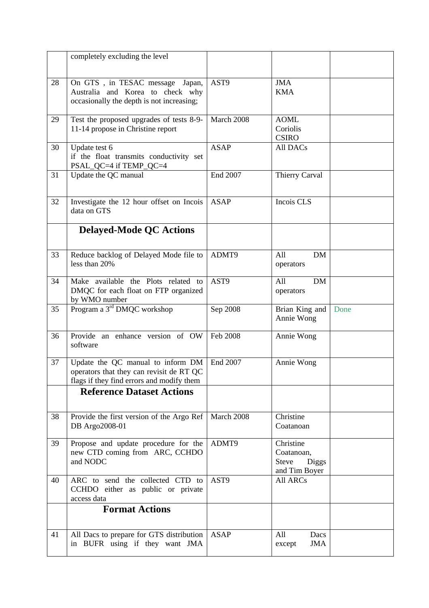|    | completely excluding the level                                                                                             |             |                                                                   |      |
|----|----------------------------------------------------------------------------------------------------------------------------|-------------|-------------------------------------------------------------------|------|
|    |                                                                                                                            |             |                                                                   |      |
| 28 | On GTS, in TESAC message Japan,<br>Australia and Korea to check why<br>occasionally the depth is not increasing;           | AST9        | <b>JMA</b><br><b>KMA</b>                                          |      |
| 29 | Test the proposed upgrades of tests 8-9-<br>11-14 propose in Christine report                                              | March 2008  | <b>AOML</b><br>Coriolis<br><b>CSIRO</b>                           |      |
| 30 | Update test 6<br>if the float transmits conductivity set<br>PSAL_QC=4 if TEMP_QC=4                                         | <b>ASAP</b> | All DACs                                                          |      |
| 31 | Update the QC manual                                                                                                       | End 2007    | Thierry Carval                                                    |      |
| 32 | Investigate the 12 hour offset on Incois<br>data on GTS                                                                    | <b>ASAP</b> | Incois CLS                                                        |      |
|    | <b>Delayed-Mode QC Actions</b>                                                                                             |             |                                                                   |      |
| 33 | Reduce backlog of Delayed Mode file to<br>less than 20%                                                                    | ADMT9       | All<br><b>DM</b><br>operators                                     |      |
| 34 | Make available the Plots related to<br>DMQC for each float on FTP organized<br>by WMO number                               | AST9        | All<br>DM<br>operators                                            |      |
| 35 | Program a 3 <sup>rd</sup> DMQC workshop                                                                                    | Sep 2008    | Brian King and<br>Annie Wong                                      | Done |
| 36 | Provide an enhance version of OW<br>software                                                                               | Feb 2008    | Annie Wong                                                        |      |
| 37 | Update the QC manual to inform DM<br>operators that they can revisit de RT QC<br>flags if they find errors and modify them | End 2007    | Annie Wong                                                        |      |
|    | <b>Reference Dataset Actions</b>                                                                                           |             |                                                                   |      |
| 38 | Provide the first version of the Argo Ref<br>DB Argo2008-01                                                                | March 2008  | Christine<br>Coatanoan                                            |      |
| 39 | Propose and update procedure for the<br>new CTD coming from ARC, CCHDO<br>and NODC                                         | ADMT9       | Christine<br>Coatanoan,<br><b>Steve</b><br>Diggs<br>and Tim Boyer |      |
| 40 | ARC to send the collected CTD to<br>CCHDO either as public or private<br>access data                                       | AST9        | All ARCs                                                          |      |
|    | <b>Format Actions</b>                                                                                                      |             |                                                                   |      |
| 41 | All Dacs to prepare for GTS distribution<br>in BUFR using if they want JMA                                                 | <b>ASAP</b> | All<br>Dacs<br><b>JMA</b><br>except                               |      |